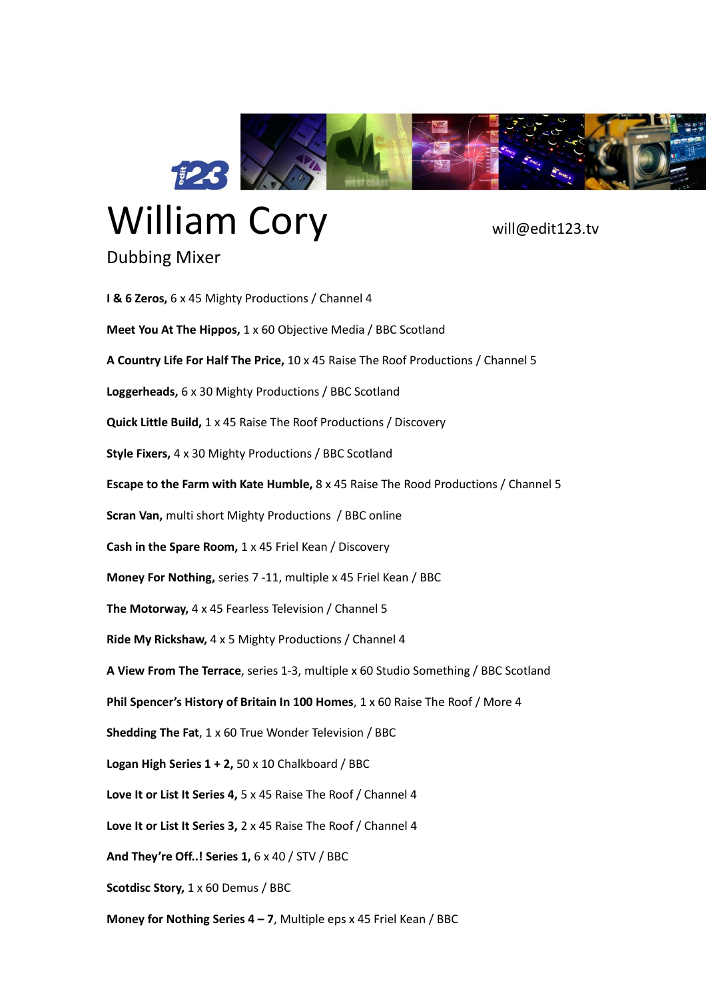

## William Cory will@edit123.tv

Dubbing Mixer

## **I & 6 Zeros,** 6 x 45 Mighty Productions / Channel 4 **Meet You At The Hippos,** 1 x 60 Objective Media / BBC Scotland **A Country Life For Half The Price,** 10 x 45 Raise The Roof Productions / Channel 5 **Loggerheads,** 6 x 30 Mighty Productions / BBC Scotland **Quick Little Build,** 1 x 45 Raise The Roof Productions / Discovery **Style Fixers,** 4 x 30 Mighty Productions / BBC Scotland **Escape to the Farm with Kate Humble,** 8 x 45 Raise The Rood Productions / Channel 5 **Scran Van,** multi short Mighty Productions / BBC online **Cash in the Spare Room,** 1 x 45 Friel Kean / Discovery **Money For Nothing,** series 7 -11, multiple x 45 Friel Kean / BBC **The Motorway,** 4 x 45 Fearless Television / Channel 5 **Ride My Rickshaw,** 4 x 5 Mighty Productions / Channel 4 **A View From The Terrace**, series 1-3, multiple x 60 Studio Something / BBC Scotland **Phil Spencer's History of Britain In 100 Homes**, 1 x 60 Raise The Roof / More 4 **Shedding The Fat**, 1 x 60 True Wonder Television / BBC **Logan High Series 1 + 2,** 50 x 10 Chalkboard / BBC **Love It or List It Series 4,** 5 x 45 Raise The Roof / Channel 4 **Love It or List It Series 3,** 2 x 45 Raise The Roof / Channel 4 **And They're Off..! Series 1,** 6 x 40 / STV / BBC **Scotdisc Story,** 1 x 60 Demus / BBC **Money for Nothing Series 4 – 7**, Multiple eps x 45 Friel Kean / BBC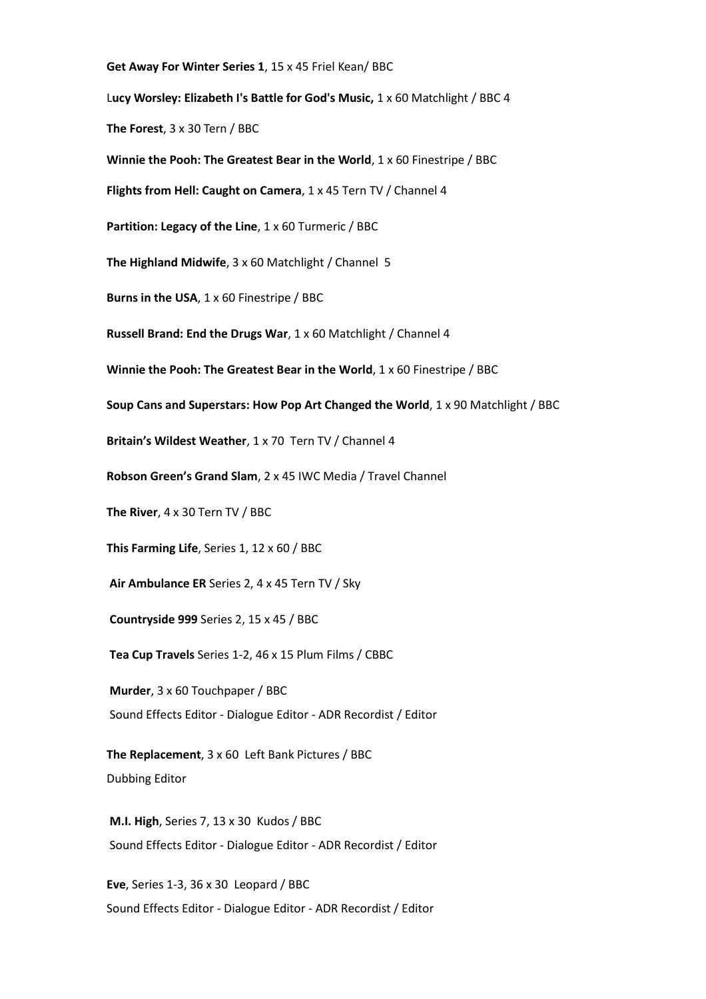**Get Away For Winter Series 1**, 15 x 45 Friel Kean/ BBC

L**ucy Worsley: Elizabeth I's Battle for God's Music,** 1 x 60 Matchlight / BBC 4

**The Forest**, 3 x 30 Tern / BBC

**Winnie the Pooh: The Greatest Bear in the World**, 1 x 60 Finestripe / BBC

**Flights from Hell: Caught on Camera**, 1 x 45 Tern TV / Channel 4

**Partition: Legacy of the Line**, 1 x 60 Turmeric / BBC

**The Highland Midwife**, 3 x 60 Matchlight / Channel 5

**Burns in the USA**, 1 x 60 Finestripe / BBC

**Russell Brand: End the Drugs War**, 1 x 60 Matchlight / Channel 4

**Winnie the Pooh: The Greatest Bear in the World**, 1 x 60 Finestripe / BBC

**Soup Cans and Superstars: How Pop Art Changed the World**, 1 x 90 Matchlight / BBC

**Britain's Wildest Weather**, 1 x 70 Tern TV / Channel 4

**Robson Green's Grand Slam**, 2 x 45 IWC Media / Travel Channel

**The River**, 4 x 30 Tern TV / BBC

**This Farming Life**, Series 1, 12 x 60 / BBC

**Air Ambulance ER** Series 2, 4 x 45 Tern TV / Sky

**Countryside 999** Series 2, 15 x 45 / BBC

**Tea Cup Travels** Series 1-2, 46 x 15 Plum Films / CBBC

**Murder**, 3 x 60 Touchpaper / BBC Sound Effects Editor - Dialogue Editor - ADR Recordist / Editor

**The Replacement**, 3 x 60 Left Bank Pictures / BBC Dubbing Editor

**M.I. High**, Series 7, 13 x 30 Kudos / BBC Sound Effects Editor - Dialogue Editor - ADR Recordist / Editor

**Eve**, Series 1-3, 36 x 30 Leopard / BBC Sound Effects Editor - Dialogue Editor - ADR Recordist / Editor